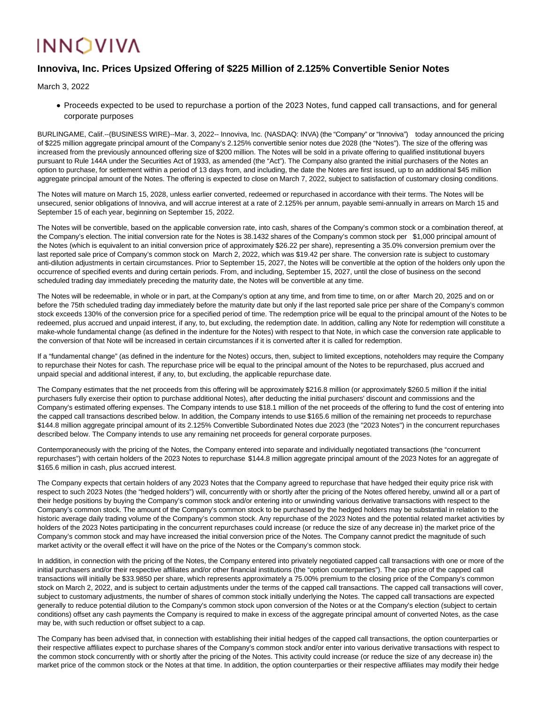## **INNOVIVA**

## **Innoviva, Inc. Prices Upsized Offering of \$225 Million of 2.125% Convertible Senior Notes**

March 3, 2022

Proceeds expected to be used to repurchase a portion of the 2023 Notes, fund capped call transactions, and for general corporate purposes

BURLINGAME, Calif.--(BUSINESS WIRE)--Mar. 3, 2022-- Innoviva, Inc. (NASDAQ: INVA) (the "Company" or "Innoviva") today announced the pricing of \$225 million aggregate principal amount of the Company's 2.125% convertible senior notes due 2028 (the "Notes"). The size of the offering was increased from the previously announced offering size of \$200 million. The Notes will be sold in a private offering to qualified institutional buyers pursuant to Rule 144A under the Securities Act of 1933, as amended (the "Act"). The Company also granted the initial purchasers of the Notes an option to purchase, for settlement within a period of 13 days from, and including, the date the Notes are first issued, up to an additional \$45 million aggregate principal amount of the Notes. The offering is expected to close on March 7, 2022, subject to satisfaction of customary closing conditions.

The Notes will mature on March 15, 2028, unless earlier converted, redeemed or repurchased in accordance with their terms. The Notes will be unsecured, senior obligations of Innoviva, and will accrue interest at a rate of 2.125% per annum, payable semi-annually in arrears on March 15 and September 15 of each year, beginning on September 15, 2022.

The Notes will be convertible, based on the applicable conversion rate, into cash, shares of the Company's common stock or a combination thereof, at the Company's election. The initial conversion rate for the Notes is 38.1432 shares of the Company's common stock per \$1,000 principal amount of the Notes (which is equivalent to an initial conversion price of approximately \$26.22 per share), representing a 35.0% conversion premium over the last reported sale price of Company's common stock on March 2, 2022, which was \$19.42 per share. The conversion rate is subject to customary anti-dilution adjustments in certain circumstances. Prior to September 15, 2027, the Notes will be convertible at the option of the holders only upon the occurrence of specified events and during certain periods. From, and including, September 15, 2027, until the close of business on the second scheduled trading day immediately preceding the maturity date, the Notes will be convertible at any time.

The Notes will be redeemable, in whole or in part, at the Company's option at any time, and from time to time, on or after March 20, 2025 and on or before the 75th scheduled trading day immediately before the maturity date but only if the last reported sale price per share of the Company's common stock exceeds 130% of the conversion price for a specified period of time. The redemption price will be equal to the principal amount of the Notes to be redeemed, plus accrued and unpaid interest, if any, to, but excluding, the redemption date. In addition, calling any Note for redemption will constitute a make-whole fundamental change (as defined in the indenture for the Notes) with respect to that Note, in which case the conversion rate applicable to the conversion of that Note will be increased in certain circumstances if it is converted after it is called for redemption.

If a "fundamental change" (as defined in the indenture for the Notes) occurs, then, subject to limited exceptions, noteholders may require the Company to repurchase their Notes for cash. The repurchase price will be equal to the principal amount of the Notes to be repurchased, plus accrued and unpaid special and additional interest, if any, to, but excluding, the applicable repurchase date.

The Company estimates that the net proceeds from this offering will be approximately \$216.8 million (or approximately \$260.5 million if the initial purchasers fully exercise their option to purchase additional Notes), after deducting the initial purchasers' discount and commissions and the Company's estimated offering expenses. The Company intends to use \$18.1 million of the net proceeds of the offering to fund the cost of entering into the capped call transactions described below. In addition, the Company intends to use \$165.6 million of the remaining net proceeds to repurchase \$144.8 million aggregate principal amount of its 2.125% Convertible Subordinated Notes due 2023 (the "2023 Notes") in the concurrent repurchases described below. The Company intends to use any remaining net proceeds for general corporate purposes.

Contemporaneously with the pricing of the Notes, the Company entered into separate and individually negotiated transactions (the "concurrent repurchases") with certain holders of the 2023 Notes to repurchase \$144.8 million aggregate principal amount of the 2023 Notes for an aggregate of \$165.6 million in cash, plus accrued interest.

The Company expects that certain holders of any 2023 Notes that the Company agreed to repurchase that have hedged their equity price risk with respect to such 2023 Notes (the "hedged holders") will, concurrently with or shortly after the pricing of the Notes offered hereby, unwind all or a part of their hedge positions by buying the Company's common stock and/or entering into or unwinding various derivative transactions with respect to the Company's common stock. The amount of the Company's common stock to be purchased by the hedged holders may be substantial in relation to the historic average daily trading volume of the Company's common stock. Any repurchase of the 2023 Notes and the potential related market activities by holders of the 2023 Notes participating in the concurrent repurchases could increase (or reduce the size of any decrease in) the market price of the Company's common stock and may have increased the initial conversion price of the Notes. The Company cannot predict the magnitude of such market activity or the overall effect it will have on the price of the Notes or the Company's common stock.

In addition, in connection with the pricing of the Notes, the Company entered into privately negotiated capped call transactions with one or more of the initial purchasers and/or their respective affiliates and/or other financial institutions (the "option counterparties"). The cap price of the capped call transactions will initially be \$33.9850 per share, which represents approximately a 75.00% premium to the closing price of the Company's common stock on March 2, 2022, and is subject to certain adjustments under the terms of the capped call transactions. The capped call transactions will cover, subject to customary adjustments, the number of shares of common stock initially underlying the Notes. The capped call transactions are expected generally to reduce potential dilution to the Company's common stock upon conversion of the Notes or at the Company's election (subject to certain conditions) offset any cash payments the Company is required to make in excess of the aggregate principal amount of converted Notes, as the case may be, with such reduction or offset subject to a cap.

The Company has been advised that, in connection with establishing their initial hedges of the capped call transactions, the option counterparties or their respective affiliates expect to purchase shares of the Company's common stock and/or enter into various derivative transactions with respect to the common stock concurrently with or shortly after the pricing of the Notes. This activity could increase (or reduce the size of any decrease in) the market price of the common stock or the Notes at that time. In addition, the option counterparties or their respective affiliates may modify their hedge